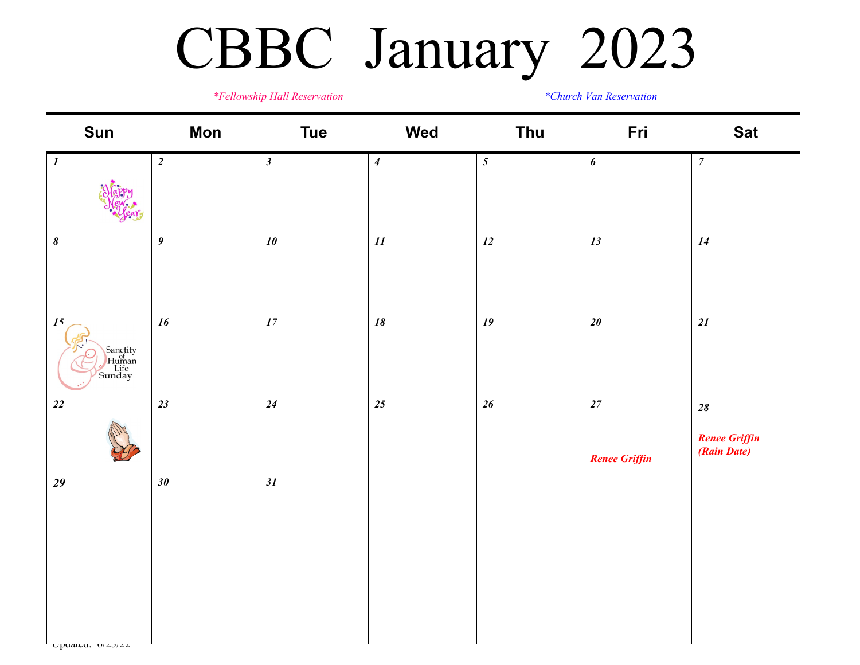## CBBC January 2023

*\*Fellowship Hall Reservation \*Church Van Reservation*

| Sun                                       | <b>Mon</b>       | <b>Tue</b>                 | Wed                        | Thu            | Fri                            | <b>Sat</b>                                    |
|-------------------------------------------|------------------|----------------------------|----------------------------|----------------|--------------------------------|-----------------------------------------------|
| $\boldsymbol{l}$                          | $\boldsymbol{2}$ | $\boldsymbol{\beta}$       | $\boldsymbol{4}$           | $\mathfrak{z}$ | 6                              | $\overline{7}$                                |
| $\pmb{8}$                                 | $\boldsymbol{9}$ | $10$                       | $\mathfrak{1}\mathfrak{1}$ | $12\,$         | 13                             | 14                                            |
| 15<br>Sanctity<br>Human<br>Life<br>Sunday | 16               | $\ensuremath{\mathit{17}}$ | $\boldsymbol{18}$          | 19             | $20\,$                         | 21                                            |
| $\sqrt{22}$                               | 23               | 24                         | 25                         | $26\,$         | $27\,$<br><b>Renee Griffin</b> | $28\,$<br><b>Renee Griffin</b><br>(Rain Date) |
| 29                                        | $30\,$           | 31                         |                            |                |                                |                                               |
| $\Box$ puancu. $0/2J/ZZ$                  |                  |                            |                            |                |                                |                                               |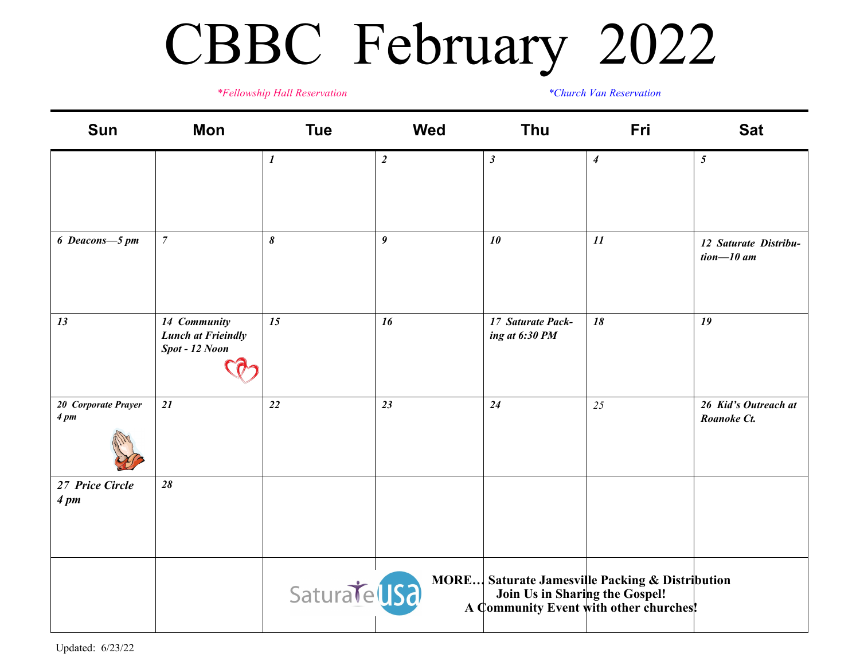## CBBC February 2022

*\*Fellowship Hall Reservation \*Church Van Reservation*

| Sun                                | Mon                                                         | <b>Tue</b>                | <b>Wed</b>       | Thu                                 | Fri                                                                                              | <b>Sat</b>                             |
|------------------------------------|-------------------------------------------------------------|---------------------------|------------------|-------------------------------------|--------------------------------------------------------------------------------------------------|----------------------------------------|
|                                    |                                                             | $\boldsymbol{\mathit{1}}$ | $\boldsymbol{2}$ | $\boldsymbol{\beta}$                | $\boldsymbol{4}$                                                                                 | $\sqrt{5}$                             |
| 6 Deacons-5 pm                     | $\overline{7}$                                              | $\boldsymbol{\delta}$     | $\boldsymbol{9}$ | 10                                  | 11                                                                                               | 12 Saturate Distribu-<br>tion $-10$ am |
| 13                                 | 14 Community<br><b>Lunch at Frieindly</b><br>Spot - 12 Noon | 15                        | 16               | 17 Saturate Pack-<br>ing at 6:30 PM | 18                                                                                               | 19                                     |
| 20 Corporate Prayer<br>4 pm        | 21                                                          | 22                        | 23               | 24                                  | 25                                                                                               | 26 Kid's Outreach at<br>Roanoke Ct.    |
| 27 Price Circle<br>4 <sub>pm</sub> | 28                                                          |                           |                  |                                     |                                                                                                  |                                        |
|                                    |                                                             | Saturate US2              |                  | Join Us in Sharing the Gospel!      | <b>MORE</b> Saturate Jamesville Packing & Distribution<br>A Community Event with other churches! |                                        |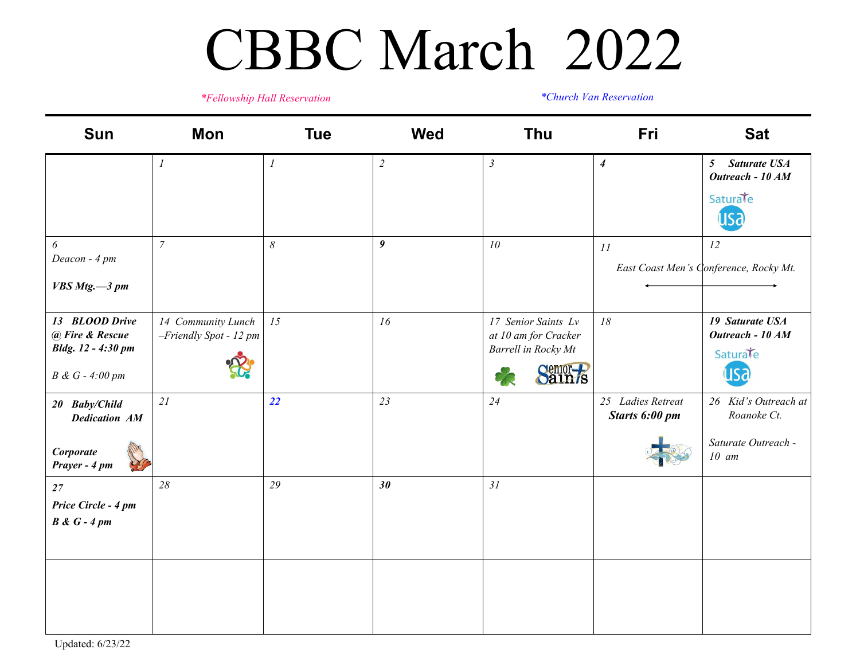#### CBBC March 2022

*\*Fellowship Hall Reservation \*Church Van Reservation*

| Sun                                   | Mon                                          | <b>Tue</b>            | <b>Wed</b>       | Thu                                         | Fri                                 | <b>Sat</b>                                                |
|---------------------------------------|----------------------------------------------|-----------------------|------------------|---------------------------------------------|-------------------------------------|-----------------------------------------------------------|
|                                       | $\mathcal{I}$                                | $\boldsymbol{l}$      | $\overline{2}$   | $\mathfrak{Z}$                              | $\boldsymbol{4}$                    | <b>Saturate USA</b><br>5 <sup>5</sup><br>Outreach - 10 AM |
|                                       |                                              |                       |                  |                                             |                                     | Saturate<br>usa                                           |
| 6<br>Deacon - 4 pm                    | $\overline{7}$                               | $\boldsymbol{\delta}$ | $\boldsymbol{9}$ | $10\,$                                      | 11                                  | 12                                                        |
| VBS Mtg.-3 pm                         |                                              |                       |                  |                                             |                                     | East Coast Men's Conference, Rocky Mt.                    |
| 13 BLOOD Drive<br>@ Fire & Rescue     | 14 Community Lunch<br>-Friendly Spot - 12 pm | 15                    | 16               | 17 Senior Saints Lv<br>at 10 am for Cracker | 18                                  | 19 Saturate USA<br>Outreach - 10 AM                       |
| Bldg. 12 - 4:30 pm                    |                                              |                       |                  | Barrell in Rocky Mt                         |                                     | Saturate                                                  |
| B & G - 4:00 pm                       |                                              |                       |                  | Sain <sub>s</sub><br>Э                      |                                     | usa                                                       |
| 20 Baby/Child<br><b>Dedication AM</b> | $21$                                         | 22                    | 23               | 24                                          | 25 Ladies Retreat<br>Starts 6:00 pm | 26 Kid's Outreach at<br>Roanoke Ct.                       |
| <b>Corporate</b><br>Prayer - 4 pm     |                                              |                       |                  |                                             |                                     | Saturate Outreach -<br>$10 \,$ am                         |
| 27                                    | 28                                           | 29                    | 30               | 31                                          |                                     |                                                           |
| Price Circle - 4 pm<br>$B & G - 4 pm$ |                                              |                       |                  |                                             |                                     |                                                           |
|                                       |                                              |                       |                  |                                             |                                     |                                                           |
|                                       |                                              |                       |                  |                                             |                                     |                                                           |
|                                       |                                              |                       |                  |                                             |                                     |                                                           |
|                                       |                                              |                       |                  |                                             |                                     |                                                           |

Updated: 6/23/22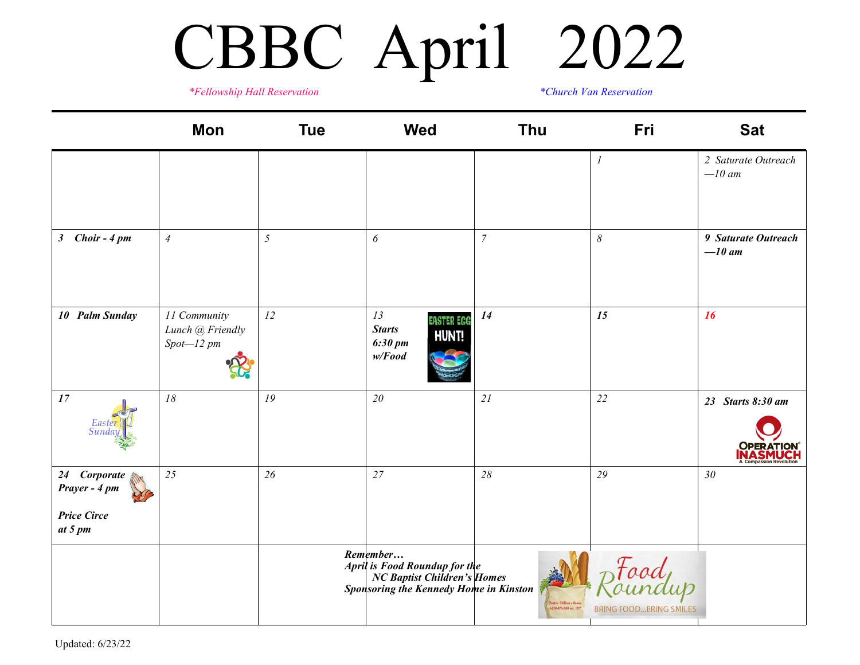# CBBC April 2022

*\*Fellowship Hall Reservation \*Church Van Reservation*

|                                                                | Mon                                              | <b>Tue</b> | <b>Wed</b>                                                                                                                    | <b>Thu</b>                                            | Fri                                  | <b>Sat</b>                            |
|----------------------------------------------------------------|--------------------------------------------------|------------|-------------------------------------------------------------------------------------------------------------------------------|-------------------------------------------------------|--------------------------------------|---------------------------------------|
|                                                                |                                                  |            |                                                                                                                               |                                                       | $\boldsymbol{l}$                     | 2 Saturate Outreach<br>$-l0$ am       |
| 3 Choir - 4 pm                                                 | $\overline{4}$                                   | 5          | 6                                                                                                                             | $\overline{7}$                                        | $\delta$                             | 9 Saturate Outreach<br>$-10$ am       |
| 10 Palm Sunday                                                 | 11 Community<br>Lunch @ Friendly<br>$Spot-12$ pm | 12         | 13<br><b>EASTER EGG</b><br><b>Starts</b><br><b>HUNT!</b><br>$6:30 \, \text{pm}$<br>w/Food                                     | 14                                                    | 15                                   | 16                                    |
| 17                                                             | $18\,$                                           | 19         | 20                                                                                                                            | 21                                                    | 22                                   | 23 Starts 8:30 am<br><b>OPERATION</b> |
| 24 Corporate<br>Prayer - 4 pm<br><b>Price Circe</b><br>at 5 pm | 25                                               | 26         | 27                                                                                                                            | 28                                                    | 29                                   | 30                                    |
|                                                                |                                                  |            | Remember<br><b>April is Food Roundup for the<br/> NC Baptist Children's Homes<br/> Sponsoring the Kennedy Home in Kinston</b> | Baytist Cliffons a Hawn<br>- 1800-070-0009 ext. (217) | aod<br><b>BRING FOODBRING SMILES</b> |                                       |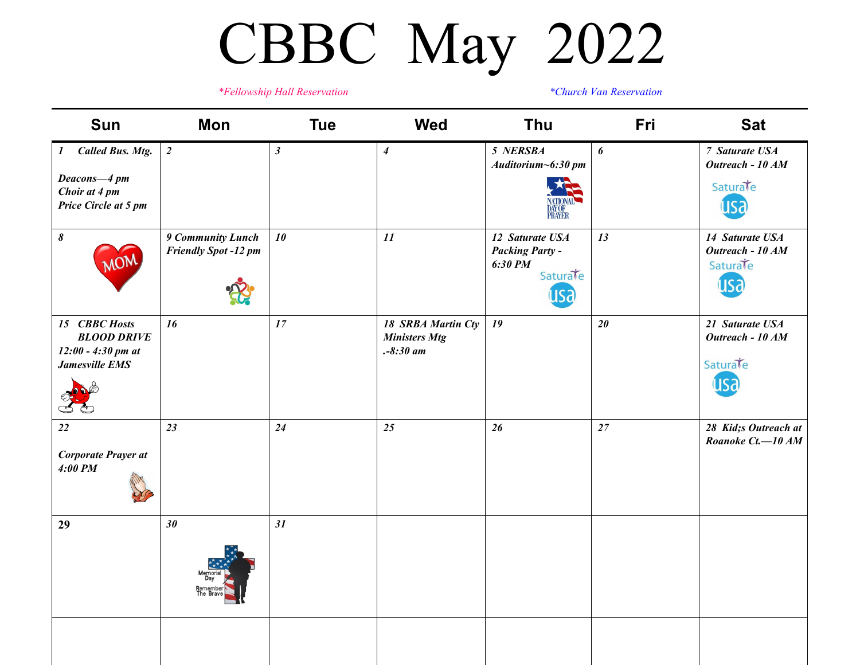## CBBC May 2022

*\*Fellowship Hall Reservation \*Church Van Reservation*

| <b>Sun</b>                                                                    | Mon                                              | <b>Tue</b>     | <b>Wed</b>                                               | Thu                                                                     | Fri    | <b>Sat</b>                                             |
|-------------------------------------------------------------------------------|--------------------------------------------------|----------------|----------------------------------------------------------|-------------------------------------------------------------------------|--------|--------------------------------------------------------|
| <b>Called Bus. Mtg.</b><br>$\boldsymbol{I}$                                   | $\overline{2}$                                   | $\mathfrak{z}$ | $\overline{\mathbf{4}}$                                  | 5 NERSBA<br>Auditorium~6:30 pm                                          | 6      | 7 Saturate USA<br>Outreach - 10 AM                     |
| Deacons-4 pm<br>Choir at 4 pm<br>Price Circle at 5 pm                         |                                                  |                |                                                          | <b>DAY OF<br/>PRAYER</b>                                                |        | Saturate                                               |
| $\pmb{\delta}$                                                                | 9 Community Lunch<br><b>Friendly Spot -12 pm</b> | 10             | 11                                                       | 12 Saturate USA<br><b>Packing Party -</b><br>6:30 PM<br>Saturate<br>usa | 13     | 14 Saturate USA<br>Outreach - 10 AM<br>Saturate<br>usa |
| 15 CBBC Hosts<br><b>BLOOD DRIVE</b><br>$12:00 - 4:30$ pm at<br>Jamesville EMS | 16                                               | 17             | 18 SRBA Martin Cty<br><b>Ministers Mtg</b><br>$-8:30$ am | 19                                                                      | $20\,$ | 21 Saturate USA<br>Outreach - 10 AM<br>Saturate<br>US? |
| 22<br>Corporate Prayer at<br>$4:00$ PM                                        | 23                                               | 24             | 25                                                       | 26                                                                      | 27     | 28 Kid;s Outreach at<br>Roanoke Ct.-10 AM              |
| 29                                                                            | 30                                               | 31             |                                                          |                                                                         |        |                                                        |
|                                                                               |                                                  |                |                                                          |                                                                         |        |                                                        |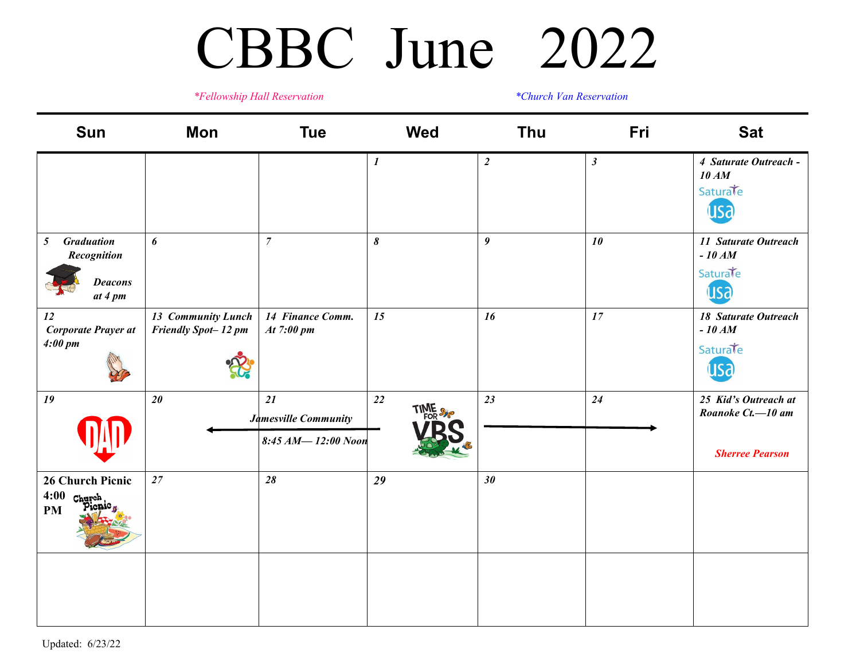#### CBBC June 2022

*\*Fellowship Hall Reservation*

*\*Church Van Reservation*

| Sun                                                                             | Mon                                       | <b>Tue</b>                                       | <b>Wed</b>       | Thu              | Fri                  | <b>Sat</b>                                                          |
|---------------------------------------------------------------------------------|-------------------------------------------|--------------------------------------------------|------------------|------------------|----------------------|---------------------------------------------------------------------|
|                                                                                 |                                           |                                                  | $\boldsymbol{l}$ | $\overline{2}$   | $\boldsymbol{\beta}$ | 4 Saturate Outreach -<br>10 AM<br>Saturate<br><b>Lisa</b>           |
| <b>Graduation</b><br>5 <sup>5</sup><br>Recognition<br><b>Deacons</b><br>at 4 pm | 6                                         | $\boldsymbol{7}$                                 | 8                | $\boldsymbol{9}$ | 10                   | 11 Saturate Outreach<br>$-10 AM$<br>Saturate<br>usa                 |
| 12<br>Corporate Prayer at<br>4:00~pm                                            | 13 Community Lunch<br>Friendly Spot-12 pm | 14 Finance Comm.<br>At 7:00 pm                   | 15               | 16               | 17                   | <b>18 Saturate Outreach</b><br>$-10 AM$<br>Saturate<br>usa          |
| 19                                                                              | 20                                        | 21<br>Jamesville Community<br>8:45 AM-12:00 Noon | 22<br>TIME S     | 23               | 24                   | 25 Kid's Outreach at<br>Roanoke Ct.-10 am<br><b>Sherree Pearson</b> |
| 26 Church Picnic<br>$4:00$ Church<br>icnic,<br><b>PM</b>                        | 27                                        | 28                                               | 29               | 30               |                      |                                                                     |
|                                                                                 |                                           |                                                  |                  |                  |                      |                                                                     |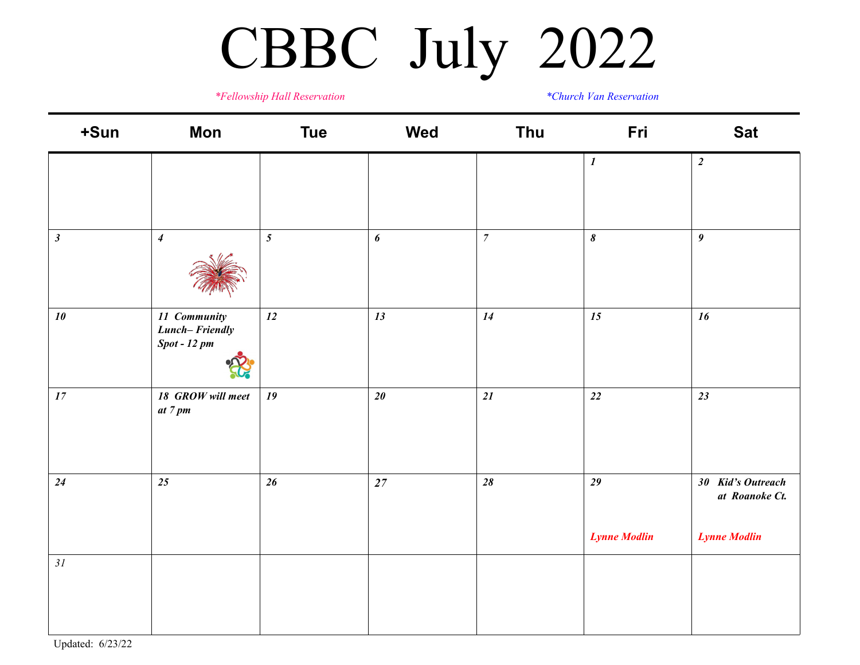### CBBC July 2022

*\*Fellowship Hall Reservation \*Church Van Reservation*

| +Sun           | <b>Mon</b>                                       | <b>Tue</b> | Wed    | Thu              | Fri                       | <b>Sat</b>                                                 |
|----------------|--------------------------------------------------|------------|--------|------------------|---------------------------|------------------------------------------------------------|
|                |                                                  |            |        |                  | $\boldsymbol{I}$          | $\overline{2}$                                             |
| $\mathfrak{z}$ | $\overline{4}$                                   | $\sqrt{5}$ | 6      | $\boldsymbol{7}$ | $\pmb{\delta}$            | $\boldsymbol{9}$                                           |
| $10\,$         | 11 Community<br>Lunch-Friendly<br>$Spot - 12 pm$ | 12         | 13     | 14               | 15                        | 16                                                         |
| $17\,$         | 18 GROW will meet<br>at 7 pm                     | 19         | 20     | 21               | 22                        | 23                                                         |
| 24             | 25                                               | $26\,$     | $27\,$ | $28$             | 29<br><b>Lynne Modlin</b> | 30 Kid's Outreach<br>at Roanoke Ct.<br><b>Lynne Modlin</b> |
| $3{\it l}$     |                                                  |            |        |                  |                           |                                                            |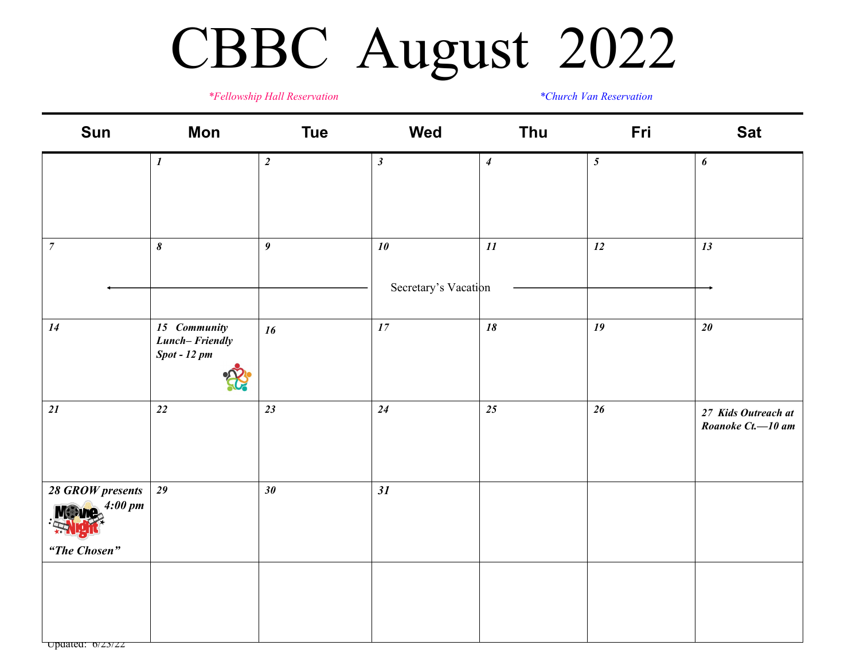### CBBC August 2022

*\*Fellowship Hall Reservation \*Church Van Reservation*

| Sun                                                                                     | <b>Mon</b>                                       | <b>Tue</b>       | <b>Wed</b>                 | Thu                      | Fri            | <b>Sat</b>                               |
|-----------------------------------------------------------------------------------------|--------------------------------------------------|------------------|----------------------------|--------------------------|----------------|------------------------------------------|
|                                                                                         | $\boldsymbol{I}$                                 | $\overline{2}$   | $\boldsymbol{\beta}$       | $\boldsymbol{4}$         | $\mathfrak{H}$ | 6                                        |
| $\boldsymbol{7}$                                                                        | $\pmb{8}$                                        | $\boldsymbol{9}$ | 10<br>Secretary's Vacation | $\mathcal{I}\mathcal{I}$ | 12             | 13                                       |
| 14                                                                                      | 15 Community<br>Lunch-Friendly<br>$Spot - 12 pm$ | 16               | $17\,$                     | 18                       | 19             | $20\,$                                   |
| 21                                                                                      | $\sqrt{22}$                                      | 23               | 24                         | 25                       | $26\,$         | 27 Kids Outreach at<br>Roanoke Ct.-10 am |
| 28 GROW presents<br>$M$ : $\log_2 4:00 \text{ pm}$<br>IH<br><b>READ</b><br>"The Chosen" | 29                                               | $30\,$           | 31                         |                          |                |                                          |
|                                                                                         |                                                  |                  |                            |                          |                |                                          |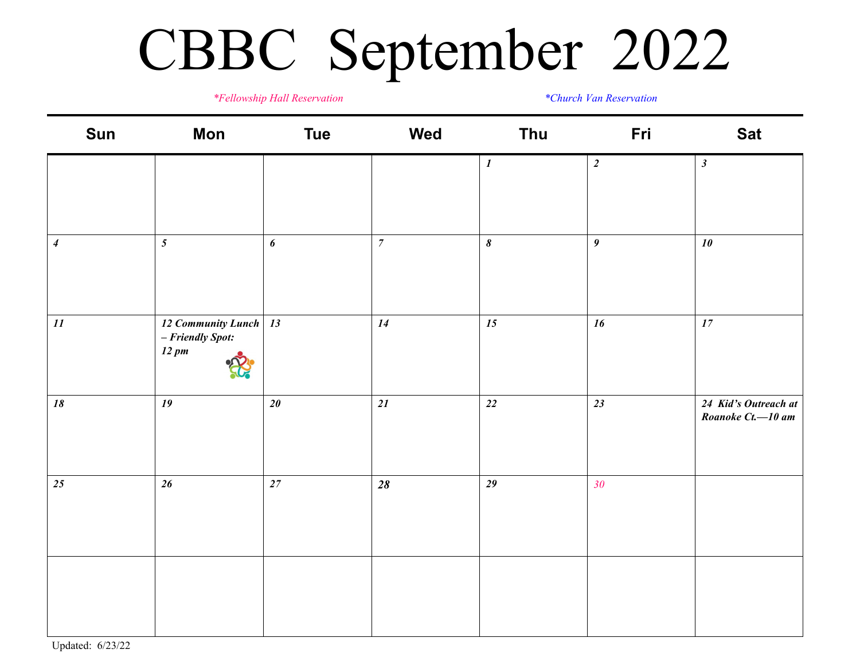### CBBC September 2022

*\*Fellowship Hall Reservation \*Church Van Reservation*

| Sun              | <b>Mon</b>                                                     | <b>Tue</b>       | Wed              | Thu              | Fri                     | <b>Sat</b>                                |
|------------------|----------------------------------------------------------------|------------------|------------------|------------------|-------------------------|-------------------------------------------|
|                  |                                                                |                  |                  | $\boldsymbol{l}$ | $\overline{\mathbf{c}}$ | $\boldsymbol{\beta}$                      |
|                  |                                                                |                  |                  |                  |                         |                                           |
| $\boldsymbol{4}$ | $\overline{5}$                                                 | $\boldsymbol{6}$ | $\boldsymbol{7}$ | $\pmb{\delta}$   | $\boldsymbol{g}$        | $10$                                      |
| $\mathfrak{11}$  | 12 Community Lunch 13<br>- Friendly Spot:<br>$12 \, \text{pm}$ |                  | 14               | 15               | 16                      | $17\,$                                    |
| $18\,$           | 19                                                             | $20\,$           | 21               | $22\,$           | 23                      | 24 Kid's Outreach at<br>Roanoke Ct.-10 am |
| 25               | $26\,$                                                         | $27\,$           | $28$             | 29               | 30 <sup>°</sup>         |                                           |
|                  |                                                                |                  |                  |                  |                         |                                           |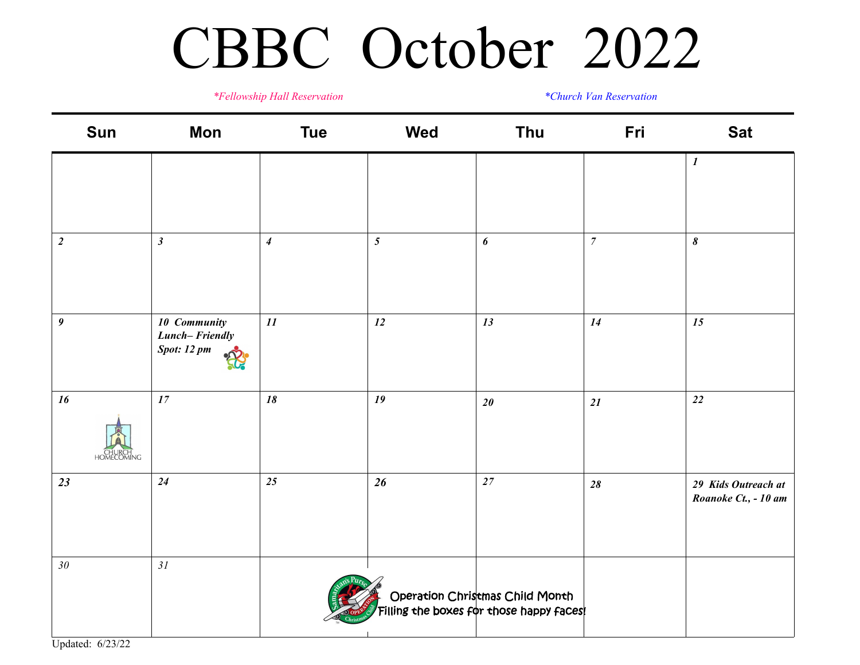#### CBBC October 2022

#### *\*Fellowship Hall Reservation \*Church Van Reservation*

| Sun                               | Mon                                                  | <b>Tue</b>                 | <b>Wed</b>      | Thu                                                                          | Fri              | <b>Sat</b>                                  |
|-----------------------------------|------------------------------------------------------|----------------------------|-----------------|------------------------------------------------------------------------------|------------------|---------------------------------------------|
|                                   |                                                      |                            |                 |                                                                              |                  | $\boldsymbol{l}$                            |
| $\boldsymbol{2}$                  | $\mathfrak{z}$                                       | $\boldsymbol{4}$           | $5\overline{)}$ | $\boldsymbol{6}$                                                             | $\boldsymbol{7}$ | $\pmb{8}$                                   |
| $\boldsymbol{9}$                  | 10 Community<br>Lunch-Friendly<br><b>Spot:</b> 12 pm | $\mathfrak{1}\mathfrak{1}$ | 12              | 13                                                                           | 14               | 15                                          |
| 16<br><b>CHURCH</b><br>HOMECOMING | 17                                                   | 18                         | 19              | $20\,$                                                                       | 21               | $22\,$                                      |
| 23                                | 24                                                   | $25\,$                     | 26              | $27\,$                                                                       | $28$             | 29 Kids Outreach at<br>Roanoke Ct., - 10 am |
| $30\,$                            | 31                                                   |                            |                 | Operation Christmas Child Month<br>  Filling the boxes for those happy faces |                  |                                             |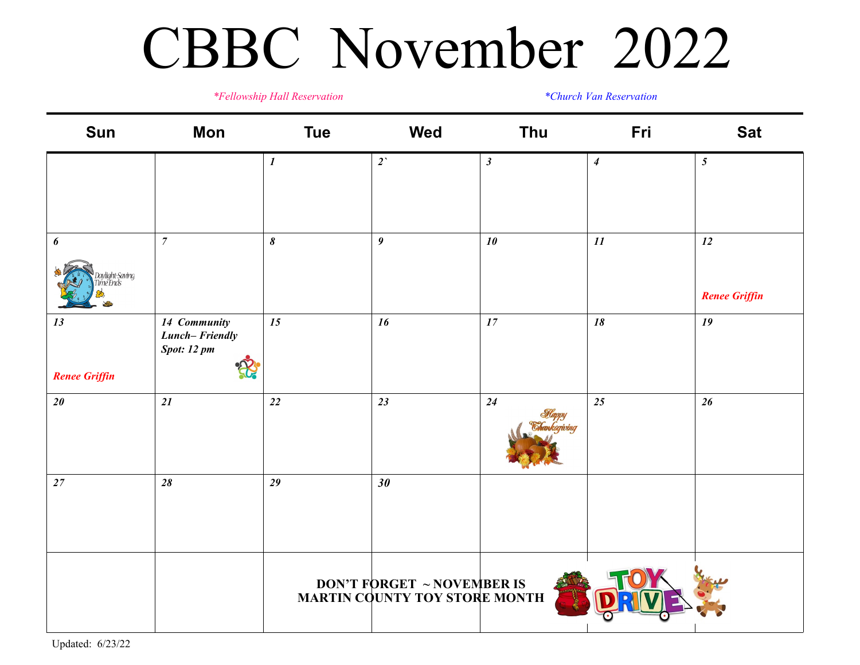#### CBBC November 2022

*\*Fellowship Hall Reservation \*Church Van Reservation*

| Sun                                               | <b>Mon</b>                                    | <b>Tue</b>       | <b>Wed</b>                                                          | Thu            | Fri                      | <b>Sat</b>                 |
|---------------------------------------------------|-----------------------------------------------|------------------|---------------------------------------------------------------------|----------------|--------------------------|----------------------------|
|                                                   |                                               | $\boldsymbol{l}$ | $2^{\prime}$                                                        | $\mathfrak{z}$ | $\boldsymbol{4}$         | $5\overline{)}$            |
| $\boldsymbol{\delta}$<br>ylight-Saving<br>ne Ends | $\overline{7}$                                | $\pmb{\delta}$   | $\boldsymbol{9}$                                                    | $10$           | $\mathcal{I}\mathcal{I}$ | 12<br><b>Renee Griffin</b> |
| 13<br><b>Renee Griffin</b>                        | 14 Community<br>Lunch-Friendly<br>Spot: 12 pm | 15               | 16                                                                  | $17\,$         | 18                       | 19                         |
| $20\,$                                            | 21                                            | 22               | 23                                                                  | 24             | 25                       | 26                         |
| $27\,$                                            | 28                                            | 29               | 30                                                                  |                |                          |                            |
|                                                   |                                               |                  | <b>DON'T FORGET ~ NOVEMBER IS<br/>MARTIN COUNTY TOY STORE MONTH</b> |                |                          |                            |

Updated: 6/23/22